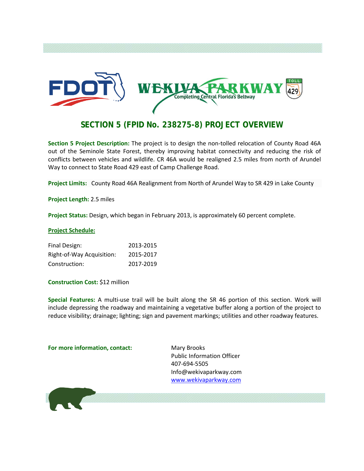

# **SECTION 5 (FPID No. 238275-8) PROJECT OVERVIEW**

**Section 5 Project Description:** The project is to design the non-tolled relocation of County Road 46A out of the Seminole State Forest, thereby improving habitat connectivity and reducing the risk of conflicts between vehicles and wildlife. CR 46A would be realigned 2.5 miles from north of Arundel Way to connect to State Road 429 east of Camp Challenge Road.

**Project Limits:** County Road 46A Realignment from North of Arundel Way to SR 429 in Lake County

**Project Length:** 2.5 miles

**Project Status:** Design, which began in February 2013, is approximately 60 percent complete.

### **Project Schedule:**

| Final Design:             | 2013-2015 |
|---------------------------|-----------|
| Right-of-Way Acquisition: | 2015-2017 |
| Construction:             | 2017-2019 |

**Construction Cost:** \$12 million

**Special Features:** A multi-use trail will be built along the SR 46 portion of this section. Work will include depressing the roadway and maintaining a vegetative buffer along a portion of the project to reduce visibility; drainage; lighting; sign and pavement markings; utilities and other roadway features.

### **For more information, contact:** Mary Brooks

Public Information Officer 407-694-5505 Info@wekivaparkway.com [www.wekivaparkway.com](http://www.wekivaparkway.com/)